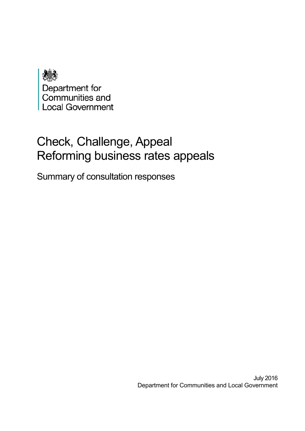

# Check, Challenge, Appeal Reforming business rates appeals

Summary of consultation responses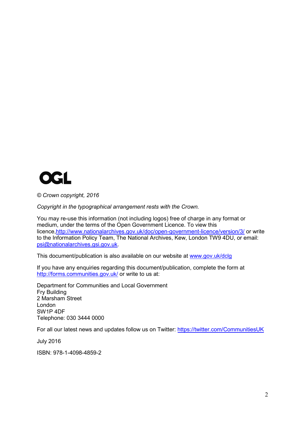

*© Crown copyright, 2016*

*Copyright in the typographical arrangement rests with the Crown.*

You may re-use this information (not including logos) free of charge in any format or medium, under the terms of the Open Government Licence. To view this licence[,http://www.nationalarchives.gov.uk/doc/open-government-licence/version/3/](http://www.nationalarchives.gov.uk/doc/open-government-licence/version/3/) or write to the Information Policy Team, The National Archives, Kew, London TW9 4DU, or email: [psi@nationalarchives.gsi.gov.uk.](mailto:psi@nationalarchives.gsi.gov.uk)

This document/publication is also available on our website at [www.gov.uk/dclg](http://www.gov.uk/dclg)

If you have any enquiries regarding this document/publication, complete the form at <http://forms.communities.gov.uk/> or write to us at:

Department for Communities and Local Government Fry Building 2 Marsham Street London SW1P 4DF Telephone: 030 3444 0000

For all our latest news and updates follow us on Twitter:<https://twitter.com/CommunitiesUK>

July 2016

ISBN: 978-1-4098-4859-2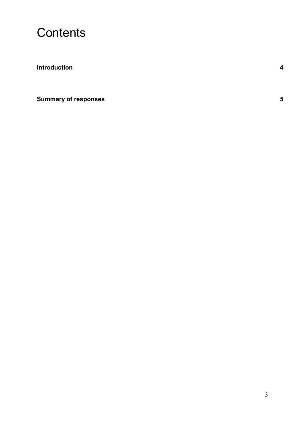

**[Introduction](#page-3-0) 4**

**[Summary of responses](#page-4-0) 5**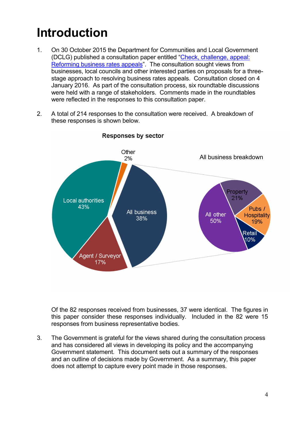# <span id="page-3-0"></span>**Introduction**

- 1. On 30 October 2015 the Department for Communities and Local Government (DCLG) published a consultation paper entitled ["Check, challenge, appeal:](https://www.gov.uk/government/consultations/reforming-business-rates-appeals-check-challenge-appeal)  [Reforming business rates appeals"](https://www.gov.uk/government/consultations/reforming-business-rates-appeals-check-challenge-appeal). The consultation sought views from businesses, local councils and other interested parties on proposals for a threestage approach to resolving business rates appeals. Consultation closed on 4 January 2016. As part of the consultation process, six roundtable discussions were held with a range of stakeholders. Comments made in the roundtables were reflected in the responses to this consultation paper.
- 2. A total of 214 responses to the consultation were received. A breakdown of these responses is shown below.



## Responses by sector

Of the 82 responses received from businesses, 37 were identical. The figures in this paper consider these responses individually. Included in the 82 were 15 responses from business representative bodies.

3. The Government is grateful for the views shared during the consultation process and has considered all views in developing its policy and the accompanying Government statement. This document sets out a summary of the responses and an outline of decisions made by Government. As a summary, this paper does not attempt to capture every point made in those responses.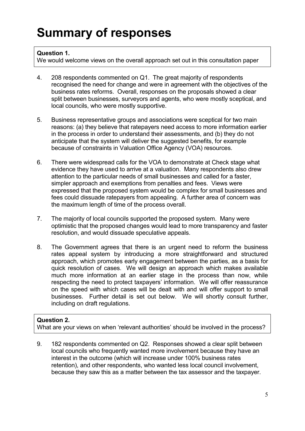# <span id="page-4-0"></span>**Summary of responses**

## **Question 1.**

We would welcome views on the overall approach set out in this consultation paper

- 4. 208 respondents commented on Q1. The great majority of respondents recognised the need for change and were in agreement with the objectives of the business rates reforms. Overall, responses on the proposals showed a clear split between businesses, surveyors and agents, who were mostly sceptical, and local councils, who were mostly supportive.
- 5. Business representative groups and associations were sceptical for two main reasons: (a) they believe that ratepayers need access to more information earlier in the process in order to understand their assessments, and (b) they do not anticipate that the system will deliver the suggested benefits, for example because of constraints in Valuation Office Agency (VOA) resources.
- 6. There were widespread calls for the VOA to demonstrate at Check stage what evidence they have used to arrive at a valuation. Many respondents also drew attention to the particular needs of small businesses and called for a faster, simpler approach and exemptions from penalties and fees. Views were expressed that the proposed system would be complex for small businesses and fees could dissuade ratepayers from appealing. A further area of concern was the maximum length of time of the process overall.
- 7. The majority of local councils supported the proposed system. Many were optimistic that the proposed changes would lead to more transparency and faster resolution, and would dissuade speculative appeals.
- 8. The Government agrees that there is an urgent need to reform the business rates appeal system by introducing a more straightforward and structured approach, which promotes early engagement between the parties, as a basis for quick resolution of cases. We will design an approach which makes available much more information at an earlier stage in the process than now, while respecting the need to protect taxpayers' information. We will offer reassurance on the speed with which cases will be dealt with and will offer support to small businesses. Further detail is set out below. We will shortly consult further, including on draft regulations.

## **Question 2.**

What are your views on when 'relevant authorities' should be involved in the process?

9. 182 respondents commented on Q2. Responses showed a clear split between local councils who frequently wanted more involvement because they have an interest in the outcome (which will increase under 100% business rates retention), and other respondents, who wanted less local council involvement, because they saw this as a matter between the tax assessor and the taxpayer.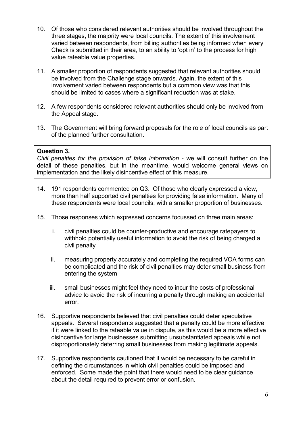- 10. Of those who considered relevant authorities should be involved throughout the three stages, the majority were local councils. The extent of this involvement varied between respondents, from billing authorities being informed when every Check is submitted in their area, to an ability to 'opt in' to the process for high value rateable value properties.
- 11. A smaller proportion of respondents suggested that relevant authorities should be involved from the Challenge stage onwards. Again, the extent of this involvement varied between respondents but a common view was that this should be limited to cases where a significant reduction was at stake.
- 12. A few respondents considered relevant authorities should only be involved from the Appeal stage.
- 13. The Government will bring forward proposals for the role of local councils as part of the planned further consultation.

### **Question 3.**

*Civil penalties for the provision of false information* - we will consult further on the detail of these penalties, but in the meantime, would welcome general views on implementation and the likely disincentive effect of this measure.

- 14. 191 respondents commented on Q3. Of those who clearly expressed a view, more than half supported civil penalties for providing false information. Many of these respondents were local councils, with a smaller proportion of businesses.
- 15. Those responses which expressed concerns focussed on three main areas:
	- i. civil penalties could be counter-productive and encourage ratepayers to withhold potentially useful information to avoid the risk of being charged a civil penalty
	- ii. measuring property accurately and completing the required VOA forms can be complicated and the risk of civil penalties may deter small business from entering the system
	- iii. small businesses might feel they need to incur the costs of professional advice to avoid the risk of incurring a penalty through making an accidental error.
- 16. Supportive respondents believed that civil penalties could deter speculative appeals. Several respondents suggested that a penalty could be more effective if it were linked to the rateable value in dispute, as this would be a more effective disincentive for large businesses submitting unsubstantiated appeals while not disproportionately deterring small businesses from making legitimate appeals.
- 17. Supportive respondents cautioned that it would be necessary to be careful in defining the circumstances in which civil penalties could be imposed and enforced. Some made the point that there would need to be clear guidance about the detail required to prevent error or confusion.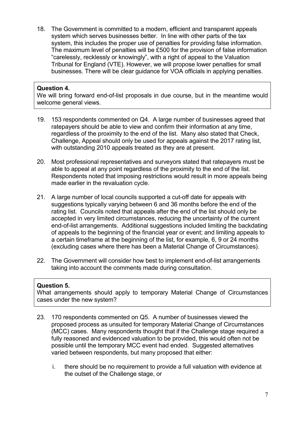18. The Government is committed to a modern, efficient and transparent appeals system which serves businesses better. In line with other parts of the tax system, this includes the proper use of penalties for providing false information. The maximum level of penalties will be £500 for the provision of false information "carelessly, recklessly or knowingly", with a right of appeal to the Valuation Tribunal for England (VTE). However, we will propose lower penalties for small businesses. There will be clear guidance for VOA officials in applying penalties.

### **Question 4.**

We will bring forward end-of-list proposals in due course, but in the meantime would welcome general views.

- 19. 153 respondents commented on Q4. A large number of businesses agreed that ratepayers should be able to view and confirm their information at any time, regardless of the proximity to the end of the list. Many also stated that Check, Challenge, Appeal should only be used for appeals against the 2017 rating list, with outstanding 2010 appeals treated as they are at present.
- 20. Most professional representatives and surveyors stated that ratepayers must be able to appeal at any point regardless of the proximity to the end of the list. Respondents noted that imposing restrictions would result in more appeals being made earlier in the revaluation cycle.
- 21. A large number of local councils supported a cut-off date for appeals with suggestions typically varying between 6 and 36 months before the end of the rating list. Councils noted that appeals after the end of the list should only be accepted in very limited circumstances, reducing the uncertainty of the current end-of-list arrangements. Additional suggestions included limiting the backdating of appeals to the beginning of the financial year or event; and limiting appeals to a certain timeframe at the beginning of the list, for example, 6, 9 or 24 months (excluding cases where there has been a Material Change of Circumstances).
- 22. The Government will consider how best to implement end-of-list arrangements taking into account the comments made during consultation.

### **Question 5.**

What arrangements should apply to temporary Material Change of Circumstances cases under the new system?

- 23. 170 respondents commented on Q5. A number of businesses viewed the proposed process as unsuited for temporary Material Change of Circumstances (MCC) cases. Many respondents thought that if the Challenge stage required a fully reasoned and evidenced valuation to be provided, this would often not be possible until the temporary MCC event had ended. Suggested alternatives varied between respondents, but many proposed that either:
	- i. there should be no requirement to provide a full valuation with evidence at the outset of the Challenge stage, or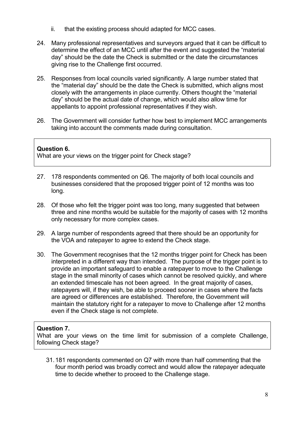- ii. that the existing process should adapted for MCC cases.
- 24. Many professional representatives and surveyors argued that it can be difficult to determine the effect of an MCC until after the event and suggested the "material day" should be the date the Check is submitted or the date the circumstances giving rise to the Challenge first occurred.
- 25. Responses from local councils varied significantly. A large number stated that the "material day" should be the date the Check is submitted, which aligns most closely with the arrangements in place currently. Others thought the "material day" should be the actual date of change, which would also allow time for appellants to appoint professional representatives if they wish.
- 26. The Government will consider further how best to implement MCC arrangements taking into account the comments made during consultation.

## **Question 6.**

What are your views on the trigger point for Check stage?

- 27. 178 respondents commented on Q6. The majority of both local councils and businesses considered that the proposed trigger point of 12 months was too long.
- 28. Of those who felt the trigger point was too long, many suggested that between three and nine months would be suitable for the majority of cases with 12 months only necessary for more complex cases.
- 29. A large number of respondents agreed that there should be an opportunity for the VOA and ratepayer to agree to extend the Check stage.
- 30. The Government recognises that the 12 months trigger point for Check has been interpreted in a different way than intended. The purpose of the trigger point is to provide an important safeguard to enable a ratepayer to move to the Challenge stage in the small minority of cases which cannot be resolved quickly, and where an extended timescale has not been agreed. In the great majority of cases, ratepayers will, if they wish, be able to proceed sooner in cases where the facts are agreed or differences are established. Therefore, the Government will maintain the statutory right for a ratepayer to move to Challenge after 12 months even if the Check stage is not complete.

### **Question 7.**

What are your views on the time limit for submission of a complete Challenge, following Check stage?

31.181 respondents commented on Q7 with more than half commenting that the four month period was broadly correct and would allow the ratepayer adequate time to decide whether to proceed to the Challenge stage.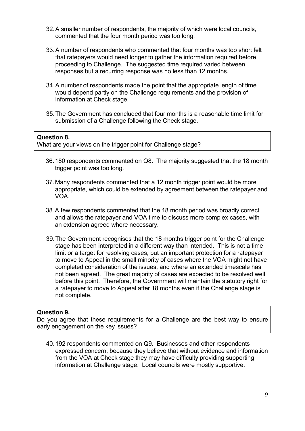- 32.A smaller number of respondents, the majority of which were local councils, commented that the four month period was too long.
- 33.A number of respondents who commented that four months was too short felt that ratepayers would need longer to gather the information required before proceeding to Challenge. The suggested time required varied between responses but a recurring response was no less than 12 months.
- 34.A number of respondents made the point that the appropriate length of time would depend partly on the Challenge requirements and the provision of information at Check stage.
- 35.The Government has concluded that four months is a reasonable time limit for submission of a Challenge following the Check stage.

#### **Question 8.**

What are your views on the trigger point for Challenge stage?

- 36.180 respondents commented on Q8. The majority suggested that the 18 month trigger point was too long.
- 37.Many respondents commented that a 12 month trigger point would be more appropriate, which could be extended by agreement between the ratepayer and VOA.
- 38.A few respondents commented that the 18 month period was broadly correct and allows the ratepayer and VOA time to discuss more complex cases, with an extension agreed where necessary.
- 39.The Government recognises that the 18 months trigger point for the Challenge stage has been interpreted in a different way than intended. This is not a time limit or a target for resolving cases, but an important protection for a ratepayer to move to Appeal in the small minority of cases where the VOA might not have completed consideration of the issues, and where an extended timescale has not been agreed. The great majority of cases are expected to be resolved well before this point. Therefore, the Government will maintain the statutory right for a ratepayer to move to Appeal after 18 months even if the Challenge stage is not complete.

### **Question 9.**

Do you agree that these requirements for a Challenge are the best way to ensure early engagement on the key issues?

40.192 respondents commented on Q9. Businesses and other respondents expressed concern, because they believe that without evidence and information from the VOA at Check stage they may have difficulty providing supporting information at Challenge stage. Local councils were mostly supportive.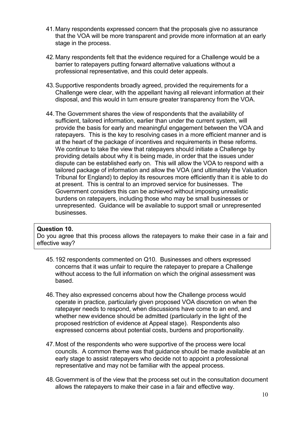- 41.Many respondents expressed concern that the proposals give no assurance that the VOA will be more transparent and provide more information at an early stage in the process.
- 42.Many respondents felt that the evidence required for a Challenge would be a barrier to ratepayers putting forward alternative valuations without a professional representative, and this could deter appeals.
- 43.Supportive respondents broadly agreed, provided the requirements for a Challenge were clear, with the appellant having all relevant information at their disposal, and this would in turn ensure greater transparency from the VOA.
- 44.The Government shares the view of respondents that the availability of sufficient, tailored information, earlier than under the current system, will provide the basis for early and meaningful engagement between the VOA and ratepayers. This is the key to resolving cases in a more efficient manner and is at the heart of the package of incentives and requirements in these reforms. We continue to take the view that ratepayers should initiate a Challenge by providing details about why it is being made, in order that the issues under dispute can be established early on. This will allow the VOA to respond with a tailored package of information and allow the VOA (and ultimately the Valuation Tribunal for England) to deploy its resources more efficiently than it is able to do at present. This is central to an improved service for businesses. The Government considers this can be achieved without imposing unrealistic burdens on ratepayers, including those who may be small businesses or unrepresented. Guidance will be available to support small or unrepresented businesses.

### **Question 10.**

Do you agree that this process allows the ratepayers to make their case in a fair and effective way?

- 45.192 respondents commented on Q10. Businesses and others expressed concerns that it was unfair to require the ratepayer to prepare a Challenge without access to the full information on which the original assessment was based.
- 46.They also expressed concerns about how the Challenge process would operate in practice, particularly given proposed VOA discretion on when the ratepayer needs to respond, when discussions have come to an end, and whether new evidence should be admitted (particularly in the light of the proposed restriction of evidence at Appeal stage). Respondents also expressed concerns about potential costs, burdens and proportionality.
- 47.Most of the respondents who were supportive of the process were local councils. A common theme was that guidance should be made available at an early stage to assist ratepayers who decide not to appoint a professional representative and may not be familiar with the appeal process.
- 48.Government is of the view that the process set out in the consultation document allows the ratepayers to make their case in a fair and effective way.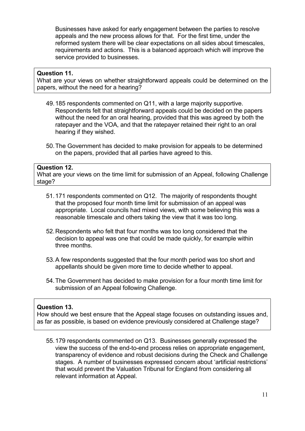Businesses have asked for early engagement between the parties to resolve appeals and the new process allows for that. For the first time, under the reformed system there will be clear expectations on all sides about timescales, requirements and actions. This is a balanced approach which will improve the service provided to businesses.

#### **Question 11.**

What are your views on whether straightforward appeals could be determined on the papers, without the need for a hearing?

- 49.185 respondents commented on Q11, with a large majority supportive. Respondents felt that straightforward appeals could be decided on the papers without the need for an oral hearing, provided that this was agreed by both the ratepayer and the VOA, and that the ratepayer retained their right to an oral hearing if they wished.
- 50.The Government has decided to make provision for appeals to be determined on the papers, provided that all parties have agreed to this.

### **Question 12.**

What are your views on the time limit for submission of an Appeal, following Challenge stage?

- 51.171 respondents commented on Q12. The majority of respondents thought that the proposed four month time limit for submission of an appeal was appropriate. Local councils had mixed views, with some believing this was a reasonable timescale and others taking the view that it was too long.
- 52.Respondents who felt that four months was too long considered that the decision to appeal was one that could be made quickly, for example within three months.
- 53.A few respondents suggested that the four month period was too short and appellants should be given more time to decide whether to appeal.
- 54.The Government has decided to make provision for a four month time limit for submission of an Appeal following Challenge.

#### **Question 13.**

How should we best ensure that the Appeal stage focuses on outstanding issues and, as far as possible, is based on evidence previously considered at Challenge stage?

55.179 respondents commented on Q13. Businesses generally expressed the view the success of the end-to-end process relies on appropriate engagement, transparency of evidence and robust decisions during the Check and Challenge stages. A number of businesses expressed concern about 'artificial restrictions' that would prevent the Valuation Tribunal for England from considering all relevant information at Appeal.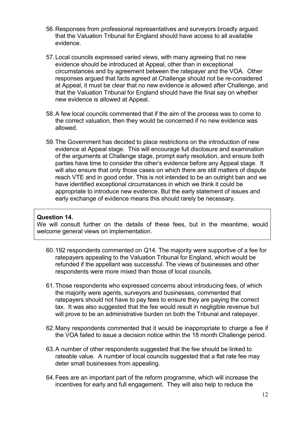- 56.Responses from professional representatives and surveyors broadly argued that the Valuation Tribunal for England should have access to all available evidence.
- 57.Local councils expressed varied views, with many agreeing that no new evidence should be introduced at Appeal, other than in exceptional circumstances and by agreement between the ratepayer and the VOA. Other responses argued that facts agreed at Challenge should not be re-considered at Appeal, it must be clear that no new evidence is allowed after Challenge, and that the Valuation Tribunal for England should have the final say on whether new evidence is allowed at Appeal.
- 58.A few local councils commented that if the aim of the process was to come to the correct valuation, then they would be concerned if no new evidence was allowed.
- 59.The Government has decided to place restrictions on the introduction of new evidence at Appeal stage. This will encourage full disclosure and examination of the arguments at Challenge stage, prompt early resolution, and ensure both parties have time to consider the other's evidence before any Appeal stage. It will also ensure that only those cases on which there are still matters of dispute reach VTE and in good order. This is not intended to be an outright ban and we have identified exceptional circumstances in which we think it could be appropriate to introduce new evidence. But the early statement of issues and early exchange of evidence means this should rarely be necessary.

#### **Question 14.**

We will consult further on the details of these fees, but in the meantime, would welcome general views on implementation.

- 60.192 respondents commented on Q14. The majority were supportive of a fee for ratepayers appealing to the Valuation Tribunal for England, which would be refunded if the appellant was successful. The views of businesses and other respondents were more mixed than those of local councils.
- 61.Those respondents who expressed concerns about introducing fees, of which the majority were agents, surveyors and businesses, commented that ratepayers should not have to pay fees to ensure they are paying the correct tax. It was also suggested that the fee would result in negligible revenue but will prove to be an administrative burden on both the Tribunal and ratepayer.
- 62.Many respondents commented that it would be inappropriate to charge a fee if the VOA failed to issue a decision notice within the 18 month Challenge period.
- 63.A number of other respondents suggested that the fee should be linked to rateable value. A number of local councils suggested that a flat rate fee may deter small businesses from appealing.
- 64.Fees are an important part of the reform programme, which will increase the incentives for early and full engagement. They will also help to reduce the